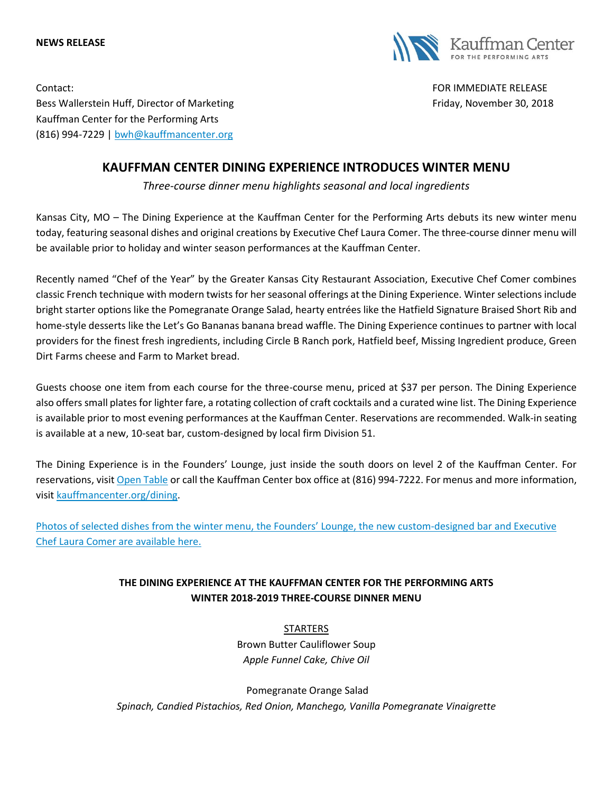#### **NEWS RELEASE**



Contact: FOR IMMEDIATE RELEASE Bess Wallerstein Huff, Director of Marketing Friday, November 30, 2018 Kauffman Center for the Performing Arts (816) 994-7229 | [bwh@kauffmancenter.org](mailto:bwh@kauffmancenter.org)

# **KAUFFMAN CENTER DINING EXPERIENCE INTRODUCES WINTER MENU**

*Three-course dinner menu highlights seasonal and local ingredients*

Kansas City, MO – The Dining Experience at the Kauffman Center for the Performing Arts debuts its new winter menu today, featuring seasonal dishes and original creations by Executive Chef Laura Comer. The three-course dinner menu will be available prior to holiday and winter season performances at the Kauffman Center.

Recently named "Chef of the Year" by the Greater Kansas City Restaurant Association, Executive Chef Comer combines classic French technique with modern twists for her seasonal offerings at the Dining Experience. Winter selections include bright starter options like the Pomegranate Orange Salad, hearty entrées like the Hatfield Signature Braised Short Rib and home-style desserts like the Let's Go Bananas banana bread waffle. The Dining Experience continues to partner with local providers for the finest fresh ingredients, including Circle B Ranch pork, Hatfield beef, Missing Ingredient produce, Green Dirt Farms cheese and Farm to Market bread.

Guests choose one item from each course for the three-course menu, priced at \$37 per person. The Dining Experience also offers small plates for lighter fare, a rotating collection of craft cocktails and a curated wine list. The Dining Experience is available prior to most evening performances at the Kauffman Center. Reservations are recommended. Walk-in seating is available at a new, 10-seat bar, custom-designed by local firm Division 51.

The Dining Experience is in the Founders' Lounge, just inside the south doors on level 2 of the Kauffman Center. For reservations, visi[t Open](https://www.opentable.com/kauffman-center-dining-experience) Table or call the Kauffman Center box office at (816) 994-7222. For menus and more information, visi[t kauffmancenter.org/dining.](https://www.kauffmancenter.org/the-center/dining/)

[Photos of selected dishes from the winter](https://www.flickr.com/photos/kauffmancenter/albums/72157688127131514) menu, the Founders' Lounge, the new custom-designed bar and Executive [Chef Laura Comer are](https://www.flickr.com/photos/kauffmancenter/albums/72157688127131514) available here.

# **THE DINING EXPERIENCE AT THE KAUFFMAN CENTER FOR THE PERFORMING ARTS WINTER 2018-2019 THREE-COURSE DINNER MENU**

STARTERS Brown Butter Cauliflower Soup *Apple Funnel Cake, Chive Oil*

Pomegranate Orange Salad *Spinach, Candied Pistachios, Red Onion, Manchego, Vanilla Pomegranate Vinaigrette*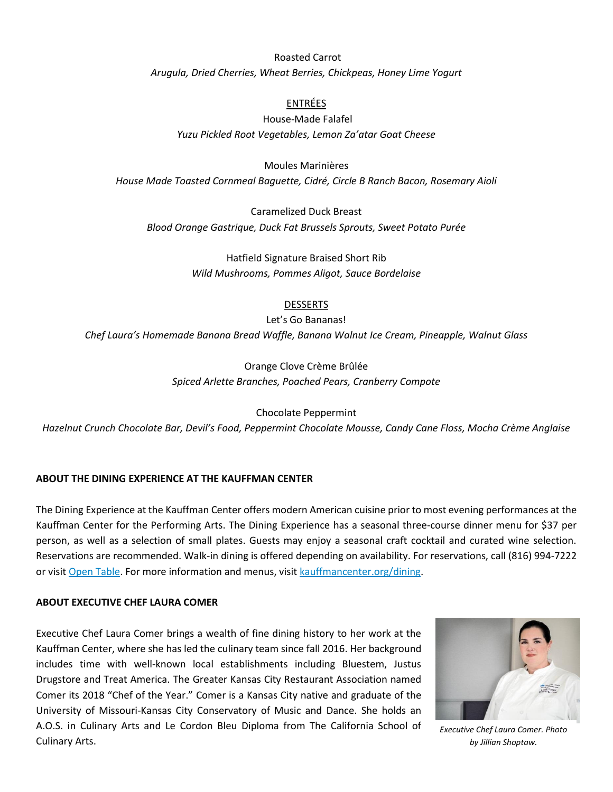### Roasted Carrot

*Arugula, Dried Cherries, Wheat Berries, Chickpeas, Honey Lime Yogurt*

### ENTRÉES

# House-Made Falafel *Yuzu Pickled Root Vegetables, Lemon Za'atar Goat Cheese*

Moules Marinières *House Made Toasted Cornmeal Baguette, Cidré, Circle B Ranch Bacon, Rosemary Aioli*

Caramelized Duck Breast *Blood Orange Gastrique, Duck Fat Brussels Sprouts, Sweet Potato Purée*

> Hatfield Signature Braised Short Rib *Wild Mushrooms, Pommes Aligot, Sauce Bordelaise*

#### DESSERTS

Let's Go Bananas!

*Chef Laura's Homemade Banana Bread Waffle, Banana Walnut Ice Cream, Pineapple, Walnut Glass*

Orange Clove Crème Brûlée *Spiced Arlette Branches, Poached Pears, Cranberry Compote*

Chocolate Peppermint

*Hazelnut Crunch Chocolate Bar, Devil's Food, Peppermint Chocolate Mousse, Candy Cane Floss, Mocha Crème Anglaise*

### **ABOUT THE DINING EXPERIENCE AT THE KAUFFMAN CENTER**

The Dining Experience at the Kauffman Center offers modern American cuisine prior to most evening performances at the Kauffman Center for the Performing Arts. The Dining Experience has a seasonal three-course dinner menu for \$37 per person, as well as a selection of small plates. Guests may enjoy a seasonal craft cocktail and curated wine selection. Reservations are recommended. Walk-in dining is offered depending on availability. For reservations, call (816) 994-7222 or visi[t Open Table.](https://www.opentable.com/kauffman-center-dining-experience) For more information and menus, visit [kauffmancenter.org/dining.](https://www.kauffmancenter.org/the-center/dining/)

#### **ABOUT EXECUTIVE CHEF LAURA COMER**

Executive Chef Laura Comer brings a wealth of fine dining history to her work at the Kauffman Center, where she has led the culinary team since fall 2016. Her background includes time with well-known local establishments including Bluestem, Justus Drugstore and Treat America. The Greater Kansas City Restaurant Association named Comer its 2018 "Chef of the Year." Comer is a Kansas City native and graduate of the University of Missouri-Kansas City Conservatory of Music and Dance. She holds an A.O.S. in Culinary Arts and Le Cordon Bleu Diploma from The California School of Culinary Arts.



*Executive Chef Laura Comer. Photo by Jillian Shoptaw.*